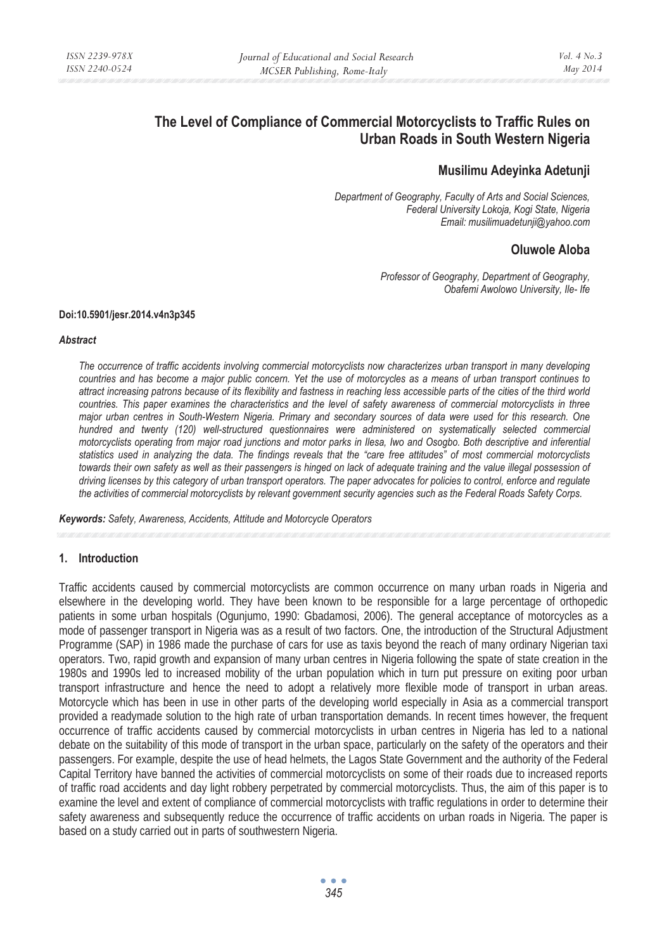# **The Level of Compliance of Commercial Motorcyclists to Traffic Rules on Urban Roads in South Western Nigeria**

## **Musilimu Adeyinka Adetunji**

*Department of Geography, Faculty of Arts and Social Sciences, Federal University Lokoja, Kogi State, Nigeria Email: musilimuadetunji@yahoo.com* 

## **Oluwole Aloba**

*Professor of Geography, Department of Geography, Obafemi Awolowo University, Ile- Ife* 

#### **Doi:10.5901/jesr.2014.v4n3p345**

#### *Abstract*

*The occurrence of traffic accidents involving commercial motorcyclists now characterizes urban transport in many developing countries and has become a major public concern. Yet the use of motorcycles as a means of urban transport continues to attract increasing patrons because of its flexibility and fastness in reaching less accessible parts of the cities of the third world countries. This paper examines the characteristics and the level of safety awareness of commercial motorcyclists in three major urban centres in South-Western Nigeria. Primary and secondary sources of data were used for this research. One hundred and twenty (120) well-structured questionnaires were administered on systematically selected commercial motorcyclists operating from major road junctions and motor parks in Ilesa, Iwo and Osogbo. Both descriptive and inferential statistics used in analyzing the data. The findings reveals that the "care free attitudes" of most commercial motorcyclists towards their own safety as well as their passengers is hinged on lack of adequate training and the value illegal possession of driving licenses by this category of urban transport operators. The paper advocates for policies to control, enforce and regulate the activities of commercial motorcyclists by relevant government security agencies such as the Federal Roads Safety Corps.* 

*Keywords: Safety, Awareness, Accidents, Attitude and Motorcycle Operators* 

#### **1. Introduction**

Traffic accidents caused by commercial motorcyclists are common occurrence on many urban roads in Nigeria and elsewhere in the developing world. They have been known to be responsible for a large percentage of orthopedic patients in some urban hospitals (Ogunjumo, 1990: Gbadamosi, 2006). The general acceptance of motorcycles as a mode of passenger transport in Nigeria was as a result of two factors. One, the introduction of the Structural Adjustment Programme (SAP) in 1986 made the purchase of cars for use as taxis beyond the reach of many ordinary Nigerian taxi operators. Two, rapid growth and expansion of many urban centres in Nigeria following the spate of state creation in the 1980s and 1990s led to increased mobility of the urban population which in turn put pressure on exiting poor urban transport infrastructure and hence the need to adopt a relatively more flexible mode of transport in urban areas. Motorcycle which has been in use in other parts of the developing world especially in Asia as a commercial transport provided a readymade solution to the high rate of urban transportation demands. In recent times however, the frequent occurrence of traffic accidents caused by commercial motorcyclists in urban centres in Nigeria has led to a national debate on the suitability of this mode of transport in the urban space, particularly on the safety of the operators and their passengers. For example, despite the use of head helmets, the Lagos State Government and the authority of the Federal Capital Territory have banned the activities of commercial motorcyclists on some of their roads due to increased reports of traffic road accidents and day light robbery perpetrated by commercial motorcyclists. Thus, the aim of this paper is to examine the level and extent of compliance of commercial motorcyclists with traffic regulations in order to determine their safety awareness and subsequently reduce the occurrence of traffic accidents on urban roads in Nigeria. The paper is based on a study carried out in parts of southwestern Nigeria.

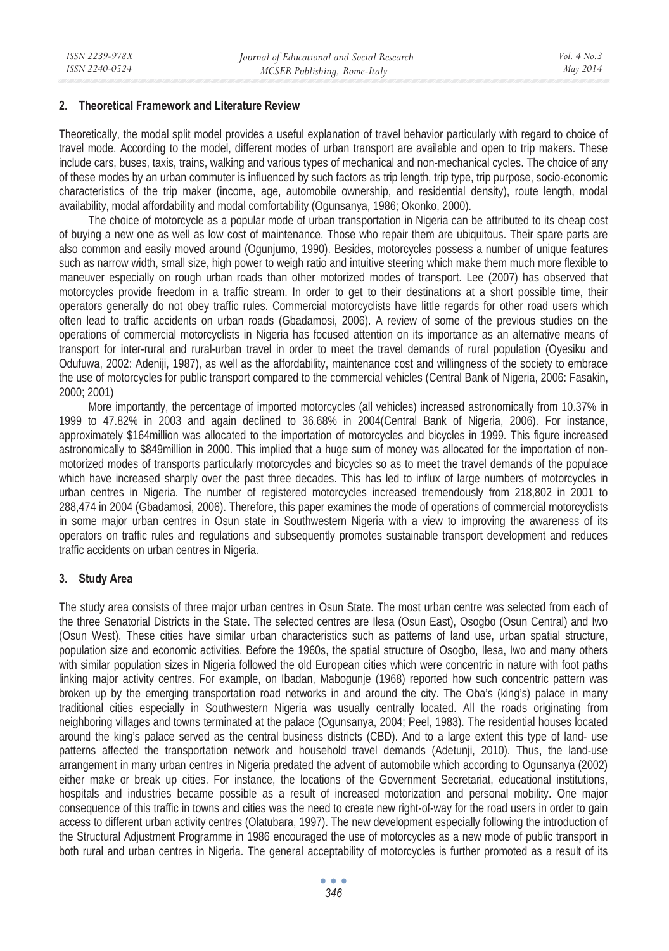#### **2. Theoretical Framework and Literature Review**

Theoretically, the modal split model provides a useful explanation of travel behavior particularly with regard to choice of travel mode. According to the model, different modes of urban transport are available and open to trip makers. These include cars, buses, taxis, trains, walking and various types of mechanical and non-mechanical cycles. The choice of any of these modes by an urban commuter is influenced by such factors as trip length, trip type, trip purpose, socio-economic characteristics of the trip maker (income, age, automobile ownership, and residential density), route length, modal availability, modal affordability and modal comfortability (Ogunsanya, 1986; Okonko, 2000).

The choice of motorcycle as a popular mode of urban transportation in Nigeria can be attributed to its cheap cost of buying a new one as well as low cost of maintenance. Those who repair them are ubiquitous. Their spare parts are also common and easily moved around (Ogunjumo, 1990). Besides, motorcycles possess a number of unique features such as narrow width, small size, high power to weigh ratio and intuitive steering which make them much more flexible to maneuver especially on rough urban roads than other motorized modes of transport. Lee (2007) has observed that motorcycles provide freedom in a traffic stream. In order to get to their destinations at a short possible time, their operators generally do not obey traffic rules. Commercial motorcyclists have little regards for other road users which often lead to traffic accidents on urban roads (Gbadamosi, 2006). A review of some of the previous studies on the operations of commercial motorcyclists in Nigeria has focused attention on its importance as an alternative means of transport for inter-rural and rural-urban travel in order to meet the travel demands of rural population (Oyesiku and Odufuwa, 2002: Adeniji, 1987), as well as the affordability, maintenance cost and willingness of the society to embrace the use of motorcycles for public transport compared to the commercial vehicles (Central Bank of Nigeria, 2006: Fasakin, 2000; 2001)

More importantly, the percentage of imported motorcycles (all vehicles) increased astronomically from 10.37% in 1999 to 47.82% in 2003 and again declined to 36.68% in 2004(Central Bank of Nigeria, 2006). For instance, approximately \$164million was allocated to the importation of motorcycles and bicycles in 1999. This figure increased astronomically to \$849million in 2000. This implied that a huge sum of money was allocated for the importation of nonmotorized modes of transports particularly motorcycles and bicycles so as to meet the travel demands of the populace which have increased sharply over the past three decades. This has led to influx of large numbers of motorcycles in urban centres in Nigeria. The number of registered motorcycles increased tremendously from 218,802 in 2001 to 288,474 in 2004 (Gbadamosi, 2006). Therefore, this paper examines the mode of operations of commercial motorcyclists in some major urban centres in Osun state in Southwestern Nigeria with a view to improving the awareness of its operators on traffic rules and regulations and subsequently promotes sustainable transport development and reduces traffic accidents on urban centres in Nigeria.

#### **3. Study Area**

The study area consists of three major urban centres in Osun State. The most urban centre was selected from each of the three Senatorial Districts in the State. The selected centres are Ilesa (Osun East), Osogbo (Osun Central) and Iwo (Osun West). These cities have similar urban characteristics such as patterns of land use, urban spatial structure, population size and economic activities. Before the 1960s, the spatial structure of Osogbo, Ilesa, Iwo and many others with similar population sizes in Nigeria followed the old European cities which were concentric in nature with foot paths linking major activity centres. For example, on Ibadan, Mabogunje (1968) reported how such concentric pattern was broken up by the emerging transportation road networks in and around the city. The Oba's (king's) palace in many traditional cities especially in Southwestern Nigeria was usually centrally located. All the roads originating from neighboring villages and towns terminated at the palace (Ogunsanya, 2004; Peel, 1983). The residential houses located around the king's palace served as the central business districts (CBD). And to a large extent this type of land- use patterns affected the transportation network and household travel demands (Adetunji, 2010). Thus, the land-use arrangement in many urban centres in Nigeria predated the advent of automobile which according to Ogunsanya (2002) either make or break up cities. For instance, the locations of the Government Secretariat, educational institutions, hospitals and industries became possible as a result of increased motorization and personal mobility. One major consequence of this traffic in towns and cities was the need to create new right-of-way for the road users in order to gain access to different urban activity centres (Olatubara, 1997). The new development especially following the introduction of the Structural Adjustment Programme in 1986 encouraged the use of motorcycles as a new mode of public transport in both rural and urban centres in Nigeria. The general acceptability of motorcycles is further promoted as a result of its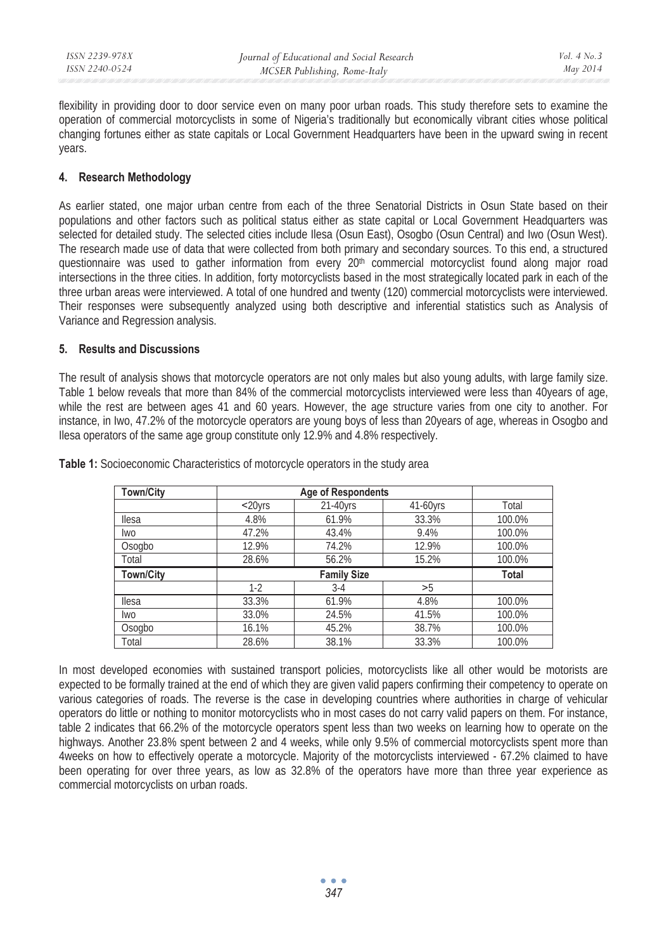flexibility in providing door to door service even on many poor urban roads. This study therefore sets to examine the operation of commercial motorcyclists in some of Nigeria's traditionally but economically vibrant cities whose political changing fortunes either as state capitals or Local Government Headquarters have been in the upward swing in recent years.

## **4. Research Methodology**

As earlier stated, one major urban centre from each of the three Senatorial Districts in Osun State based on their populations and other factors such as political status either as state capital or Local Government Headquarters was selected for detailed study. The selected cities include Ilesa (Osun East), Osogbo (Osun Central) and Iwo (Osun West). The research made use of data that were collected from both primary and secondary sources. To this end, a structured questionnaire was used to gather information from every 20<sup>th</sup> commercial motorcyclist found along major road intersections in the three cities. In addition, forty motorcyclists based in the most strategically located park in each of the three urban areas were interviewed. A total of one hundred and twenty (120) commercial motorcyclists were interviewed. Their responses were subsequently analyzed using both descriptive and inferential statistics such as Analysis of Variance and Regression analysis.

### **5. Results and Discussions**

The result of analysis shows that motorcycle operators are not only males but also young adults, with large family size. Table 1 below reveals that more than 84% of the commercial motorcyclists interviewed were less than 40years of age, while the rest are between ages 41 and 60 years. However, the age structure varies from one city to another. For instance, in Iwo, 47.2% of the motorcycle operators are young boys of less than 20years of age, whereas in Osogbo and Ilesa operators of the same age group constitute only 12.9% and 4.8% respectively.

| <b>Town/City</b> |         | <b>Age of Respondents</b> |          |        |
|------------------|---------|---------------------------|----------|--------|
|                  | $20yrs$ | 21-40yrs                  | 41-60yrs | Total  |
| llesa            | 4.8%    | 61.9%                     | 33.3%    | 100.0% |
| <b>Iwo</b>       | 47.2%   | 43.4%                     | 9.4%     | 100.0% |
| Osogbo           | 12.9%   | 74.2%                     | 12.9%    | 100.0% |
| Total            | 28.6%   | 56.2%                     | 15.2%    | 100.0% |
|                  |         |                           |          |        |
| <b>Town/City</b> |         | <b>Family Size</b>        |          | Total  |
|                  | $1-2$   | $3-4$                     | >5       |        |
| <b>Ilesa</b>     | 33.3%   | 61.9%                     | 4.8%     | 100.0% |
| <b>Iwo</b>       | 33.0%   | 24.5%                     | 41.5%    | 100.0% |
| Osogbo           | 16.1%   | 45.2%                     | 38.7%    | 100.0% |

**Table 1:** Socioeconomic Characteristics of motorcycle operators in the study area

In most developed economies with sustained transport policies, motorcyclists like all other would be motorists are expected to be formally trained at the end of which they are given valid papers confirming their competency to operate on various categories of roads. The reverse is the case in developing countries where authorities in charge of vehicular operators do little or nothing to monitor motorcyclists who in most cases do not carry valid papers on them. For instance, table 2 indicates that 66.2% of the motorcycle operators spent less than two weeks on learning how to operate on the highways. Another 23.8% spent between 2 and 4 weeks, while only 9.5% of commercial motorcyclists spent more than 4weeks on how to effectively operate a motorcycle. Majority of the motorcyclists interviewed - 67.2% claimed to have been operating for over three years, as low as 32.8% of the operators have more than three year experience as commercial motorcyclists on urban roads.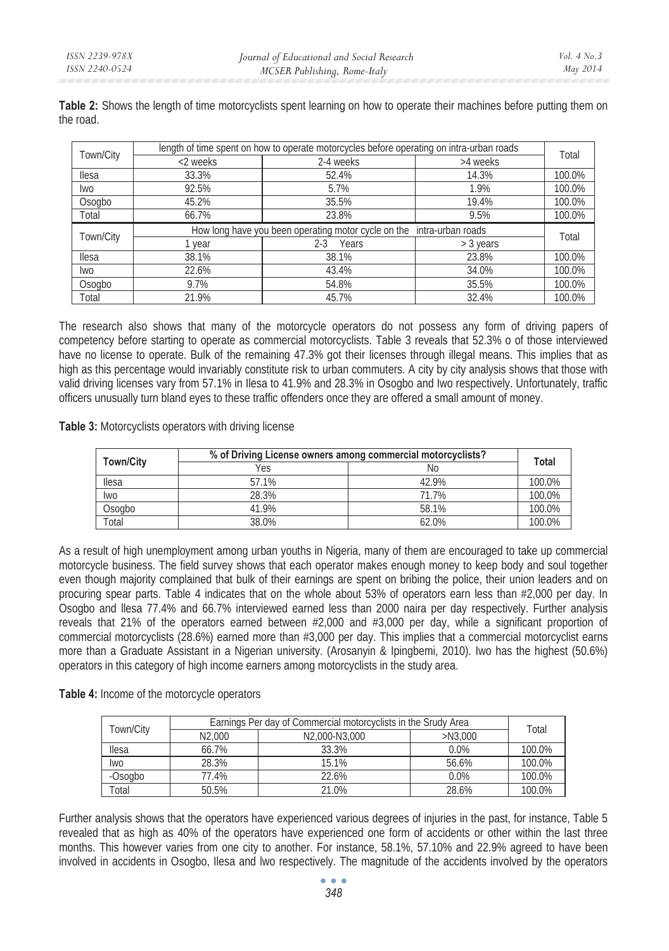| Town/City    | length of time spent on how to operate motorcycles before operating on intra-urban roads |                  |                                                                       |        |  |  |
|--------------|------------------------------------------------------------------------------------------|------------------|-----------------------------------------------------------------------|--------|--|--|
|              | <2 weeks                                                                                 | 2-4 weeks        | >4 weeks                                                              | Total  |  |  |
| <b>Ilesa</b> | 33.3%                                                                                    | 52.4%            | 14.3%                                                                 | 100.0% |  |  |
| lwo          | 92.5%                                                                                    | 5.7%             | 1.9%                                                                  | 100.0% |  |  |
| Osogbo       | 45.2%                                                                                    | 35.5%            | 19.4%                                                                 | 100.0% |  |  |
| Total        | 66.7%                                                                                    | 23.8%            | 9.5%                                                                  | 100.0% |  |  |
|              |                                                                                          |                  | How long have you been operating motor cycle on the intra-urban roads |        |  |  |
|              |                                                                                          |                  |                                                                       |        |  |  |
| Town/City    | vear                                                                                     | $2 - 3$<br>Years | $>$ 3 years                                                           | Total  |  |  |
| llesa        | 38.1%                                                                                    | 38.1%            | 23.8%                                                                 | 100.0% |  |  |
| lwo          | 22.6%                                                                                    | 43.4%            | 34.0%                                                                 | 100.0% |  |  |
| Osogbo       | 9.7%                                                                                     | 54.8%            | 35.5%                                                                 | 100.0% |  |  |

**Table 2:** Shows the length of time motorcyclists spent learning on how to operate their machines before putting them on the road.

The research also shows that many of the motorcycle operators do not possess any form of driving papers of competency before starting to operate as commercial motorcyclists. Table 3 reveals that 52.3% o of those interviewed have no license to operate. Bulk of the remaining 47.3% got their licenses through illegal means. This implies that as high as this percentage would invariably constitute risk to urban commuters. A city by city analysis shows that those with valid driving licenses vary from 57.1% in Ilesa to 41.9% and 28.3% in Osogbo and Iwo respectively. Unfortunately, traffic officers unusually turn bland eyes to these traffic offenders once they are offered a small amount of money.

**Table 3:** Motorcyclists operators with driving license

|                  | % of Driving License owners among commercial motorcyclists? |       |        |  |
|------------------|-------------------------------------------------------------|-------|--------|--|
| <b>Town/City</b> | Yes                                                         | Νo    | Total  |  |
| llesa            | 57.1%                                                       | 42.9% | 100.0% |  |
| lwo              | 28.3%                                                       | 71.7% | 100.0% |  |
| Osogbo           | 41.9%                                                       | 58.1% | 100.0% |  |
| Total            | 38.0%                                                       | 62.0% | 100.0% |  |

As a result of high unemployment among urban youths in Nigeria, many of them are encouraged to take up commercial motorcycle business. The field survey shows that each operator makes enough money to keep body and soul together even though majority complained that bulk of their earnings are spent on bribing the police, their union leaders and on procuring spear parts. Table 4 indicates that on the whole about 53% of operators earn less than #2,000 per day. In Osogbo and llesa 77.4% and 66.7% interviewed earned less than 2000 naira per day respectively. Further analysis reveals that 21% of the operators earned between #2,000 and #3,000 per day, while a significant proportion of commercial motorcyclists (28.6%) earned more than #3,000 per day. This implies that a commercial motorcyclist earns more than a Graduate Assistant in a Nigerian university. (Arosanyin & Ipingbemi, 2010). Iwo has the highest (50.6%) operators in this category of high income earners among motorcyclists in the study area.

**Table 4:** Income of the motorcycle operators

| Town/City | Earnings Per day of Commercial motorcyclists in the Srudy Area |               |            |        |  |
|-----------|----------------------------------------------------------------|---------------|------------|--------|--|
|           | N <sub>2.000</sub>                                             | N2.000-N3.000 | $>$ N3.000 | Total  |  |
| llesa     | 66.7%                                                          | 33.3%         | $0.0\%$    | 100.0% |  |
| lwo       | 28.3%                                                          | 15.1%         | 56.6%      | 100.0% |  |
| -Osogbo   | 77.4%                                                          | 22.6%         | $0.0\%$    | 100.0% |  |
| Total     | 50.5%                                                          | 21.0%         | 28.6%      | 100.0% |  |

Further analysis shows that the operators have experienced various degrees of injuries in the past, for instance, Table 5 revealed that as high as 40% of the operators have experienced one form of accidents or other within the last three months. This however varies from one city to another. For instance, 58.1%, 57.10% and 22.9% agreed to have been involved in accidents in Osogbo, Ilesa and lwo respectively. The magnitude of the accidents involved by the operators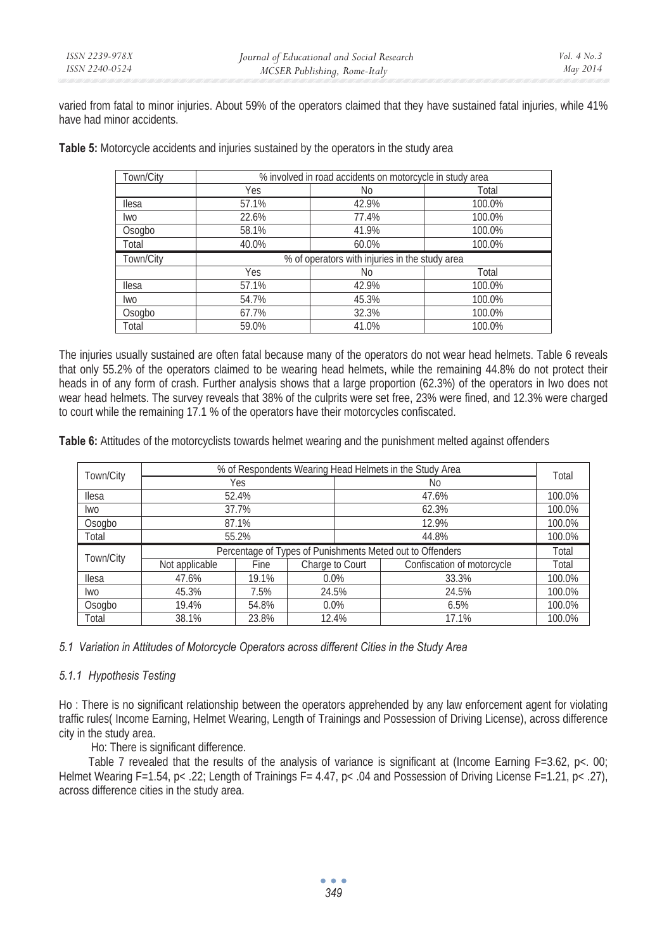varied from fatal to minor injuries. About 59% of the operators claimed that they have sustained fatal injuries, while 41% have had minor accidents.

**Table 5:** Motorcycle accidents and injuries sustained by the operators in the study area

| Town/City    | % involved in road accidents on motorcycle in study area |       |        |  |  |  |
|--------------|----------------------------------------------------------|-------|--------|--|--|--|
|              | Yes<br>No<br>Total                                       |       |        |  |  |  |
| llesa        | 57.1%                                                    | 42.9% | 100.0% |  |  |  |
| <b>Iwo</b>   | 22.6%                                                    | 77.4% | 100.0% |  |  |  |
| Osogbo       | 58.1%                                                    | 41.9% | 100.0% |  |  |  |
| Total        | 40.0%                                                    | 60.0% | 100.0% |  |  |  |
|              | % of operators with injuries in the study area           |       |        |  |  |  |
| Town/Citv    |                                                          |       |        |  |  |  |
|              | Yes                                                      | No    | Total  |  |  |  |
| <b>Ilesa</b> | 57.1%                                                    | 42.9% | 100.0% |  |  |  |
| <b>Iwo</b>   | 54.7%                                                    | 45.3% | 100.0% |  |  |  |
| Osogbo       | 67.7%                                                    | 32.3% | 100.0% |  |  |  |

The injuries usually sustained are often fatal because many of the operators do not wear head helmets. Table 6 reveals that only 55.2% of the operators claimed to be wearing head helmets, while the remaining 44.8% do not protect their heads in of any form of crash. Further analysis shows that a large proportion (62.3%) of the operators in Iwo does not wear head helmets. The survey reveals that 38% of the culprits were set free, 23% were fined, and 12.3% were charged to court while the remaining 17.1 % of the operators have their motorcycles confiscated.

**Table 6:** Attitudes of the motorcyclists towards helmet wearing and the punishment melted against offenders

| Town/City | % of Respondents Wearing Head Helmets in the Study Area   |       |                 |  |                            | Total  |  |
|-----------|-----------------------------------------------------------|-------|-----------------|--|----------------------------|--------|--|
|           |                                                           | Yes   |                 |  |                            |        |  |
| llesa     | 52.4%                                                     |       |                 |  | 100.0%                     |        |  |
| lwo       |                                                           | 37.7% |                 |  | 62.3%                      | 100.0% |  |
| Osogbo    |                                                           | 87.1% |                 |  | 12.9%                      | 100.0% |  |
| Total     | 55.2%                                                     |       |                 |  | 44.8%                      | 100.0% |  |
|           | Percentage of Types of Punishments Meted out to Offenders |       |                 |  |                            |        |  |
|           |                                                           |       |                 |  |                            | Total  |  |
| Town/City | Not applicable                                            | Fine  | Charge to Court |  | Confiscation of motorcycle | Total  |  |
| llesa     | 47.6%                                                     | 19.1% | $0.0\%$         |  | 33.3%                      | 100.0% |  |
| lwo       | 45.3%                                                     | 7.5%  | 24.5%           |  | 24.5%                      | 100.0% |  |
| Osogbo    | 19.4%                                                     | 54.8% | $0.0\%$         |  | 6.5%                       | 100.0% |  |

*5.1 Variation in Attitudes of Motorcycle Operators across different Cities in the Study Area* 

### *5.1.1 Hypothesis Testing*

Ho : There is no significant relationship between the operators apprehended by any law enforcement agent for violating traffic rules( Income Earning, Helmet Wearing, Length of Trainings and Possession of Driving License), across difference city in the study area.

Ho: There is significant difference.

Table 7 revealed that the results of the analysis of variance is significant at (Income Earning F=3.62, p<. 00; Helmet Wearing F=1.54, p< .22; Length of Trainings F= 4.47, p< .04 and Possession of Driving License F=1.21, p< .27), across difference cities in the study area.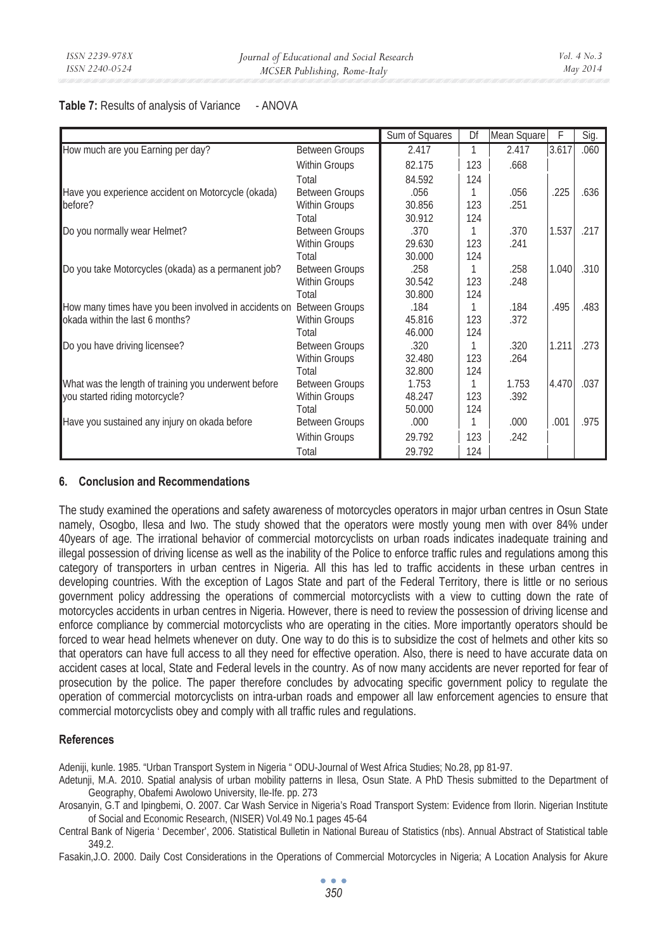#### Table 7: Results of analysis of Variance - ANOVA

|                                                                      |                       | Sum of Squares | Df  | Mean Square | F     | Sig. |
|----------------------------------------------------------------------|-----------------------|----------------|-----|-------------|-------|------|
| How much are you Earning per day?                                    | <b>Between Groups</b> | 2.417          | 1   | 2.417       | 3.617 | .060 |
|                                                                      | <b>Within Groups</b>  | 82.175         | 123 | .668        |       |      |
|                                                                      | Total                 | 84.592         | 124 |             |       |      |
| Have you experience accident on Motorcycle (okada)                   | <b>Between Groups</b> | .056           |     | .056        | .225  | .636 |
| before?                                                              | <b>Within Groups</b>  | 30.856         | 123 | .251        |       |      |
|                                                                      | Total                 | 30.912         | 124 |             |       |      |
| Do you normally wear Helmet?                                         | <b>Between Groups</b> | .370           |     | .370        | 1.537 | .217 |
|                                                                      | Within Groups         | 29.630         | 123 | .241        |       |      |
|                                                                      | Total                 | 30.000         | 124 |             |       |      |
| Do you take Motorcycles (okada) as a permanent job?                  | <b>Between Groups</b> | .258           |     | .258        | 1.040 | .310 |
|                                                                      | <b>Within Groups</b>  | 30.542         | 123 | .248        |       |      |
|                                                                      | Total                 | 30.800         | 124 |             |       |      |
| How many times have you been involved in accidents on Between Groups |                       | .184           |     | .184        | .495  | .483 |
| okada within the last 6 months?                                      | <b>Within Groups</b>  | 45.816         | 123 | .372        |       |      |
|                                                                      | Total                 | 46.000         | 124 |             |       |      |
| Do you have driving licensee?                                        | <b>Between Groups</b> | .320           |     | .320        | 1.211 | .273 |
|                                                                      | <b>Within Groups</b>  | 32.480         | 123 | .264        |       |      |
|                                                                      | Total                 | 32.800         | 124 |             |       |      |
| What was the length of training you underwent before                 | <b>Between Groups</b> | 1.753          | 1   | 1.753       | 4.470 | .037 |
| you started riding motorcycle?                                       | Within Groups         | 48.247         | 123 | .392        |       |      |
|                                                                      | Total                 | 50.000         | 124 |             |       |      |
| Have you sustained any injury on okada before                        | <b>Between Groups</b> | .000           |     | .000        | .001  | .975 |
|                                                                      | <b>Within Groups</b>  | 29.792         | 123 | .242        |       |      |
|                                                                      | Total                 | 29.792         | 124 |             |       |      |

#### **6. Conclusion and Recommendations**

The study examined the operations and safety awareness of motorcycles operators in major urban centres in Osun State namely, Osogbo, Ilesa and Iwo. The study showed that the operators were mostly young men with over 84% under 40years of age. The irrational behavior of commercial motorcyclists on urban roads indicates inadequate training and illegal possession of driving license as well as the inability of the Police to enforce traffic rules and regulations among this category of transporters in urban centres in Nigeria. All this has led to traffic accidents in these urban centres in developing countries. With the exception of Lagos State and part of the Federal Territory, there is little or no serious government policy addressing the operations of commercial motorcyclists with a view to cutting down the rate of motorcycles accidents in urban centres in Nigeria. However, there is need to review the possession of driving license and enforce compliance by commercial motorcyclists who are operating in the cities. More importantly operators should be forced to wear head helmets whenever on duty. One way to do this is to subsidize the cost of helmets and other kits so that operators can have full access to all they need for effective operation. Also, there is need to have accurate data on accident cases at local, State and Federal levels in the country. As of now many accidents are never reported for fear of prosecution by the police. The paper therefore concludes by advocating specific government policy to regulate the operation of commercial motorcyclists on intra-urban roads and empower all law enforcement agencies to ensure that commercial motorcyclists obey and comply with all traffic rules and regulations.

### **References**

Adeniji, kunle. 1985. "Urban Transport System in Nigeria " ODU-Journal of West Africa Studies; No.28, pp 81-97.

Adetunji, M.A. 2010. Spatial analysis of urban mobility patterns in Ilesa, Osun State. A PhD Thesis submitted to the Department of Geography, Obafemi Awolowo University, Ile-Ife. pp. 273

Arosanyin, G.T and Ipingbemi, O. 2007. Car Wash Service in Nigeria's Road Transport System: Evidence from Ilorin. Nigerian Institute of Social and Economic Research, (NISER) Vol.49 No.1 pages 45-64

Central Bank of Nigeria ' December', 2006. Statistical Bulletin in National Bureau of Statistics (nbs). Annual Abstract of Statistical table 349.2.

Fasakin,J.O. 2000. Daily Cost Considerations in the Operations of Commercial Motorcycles in Nigeria; A Location Analysis for Akure